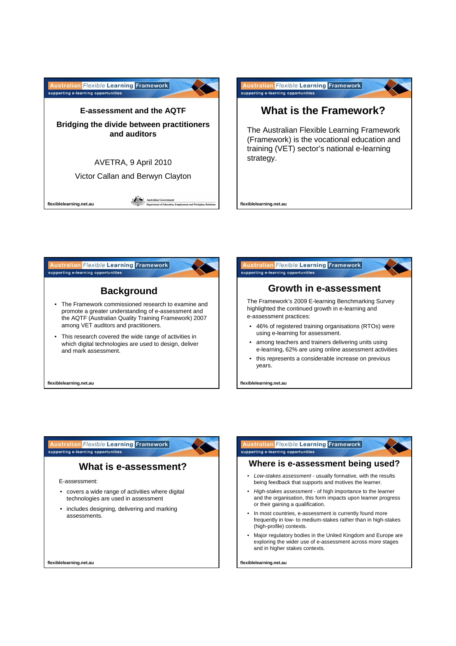





flexible learning

**flexiblelearning.net.au**

an Flexible Learning Framework supporting e-learning opportunities

# **What is e-assessment?**

E-assessment:

- covers a wide range of activities where digital technologies are used in assessment
- includes designing, delivering and marking assessments.

**flexiblelearning.net.au**

#### **ian Flexible Learning Framework** supporting e-learning opportunities

## **Where is e-assessment being used?**

flexible learning

- Low-stakes assessment usually formative, with the results being feedback that supports and motives the learner.
- High-stakes assessment of high importance to the learner and the organisation, this form impacts upon learner progress or their gaining a qualification.
- In most countries, e-assessment is currently found more frequently in low- to medium-stakes rather than in high-stakes (high-profile) contexts.
- Major regulatory bodies in the United Kingdom and Europe are exploring the wider use of e-assessment across more stages and in higher stakes contexts.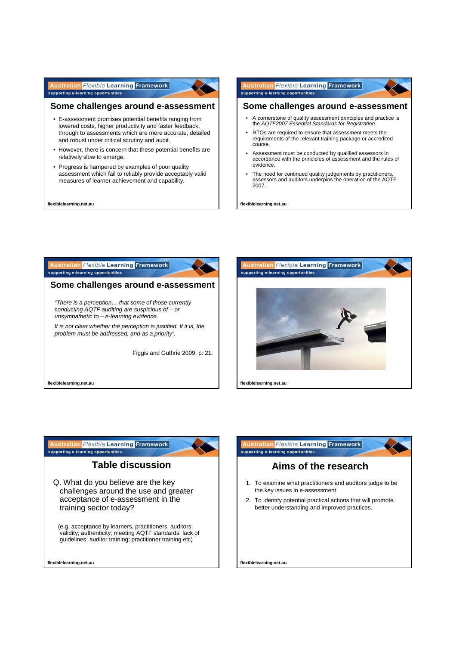#### **Australian Flexible Learning Framework** supporting e-learning opportunities

### **Some challenges around e-assessment**

flexible learning

- E-assessment promises potential benefits ranging from lowered costs, higher productivity and faster feedback, through to assessments which are more accurate, detailed and robust under critical scrutiny and audit.
- However, there is concern that these potential benefits are relatively slow to emerge.
- Progress is hampered by examples of poor quality assessment which fail to reliably provide acceptably valid measures of learner achievement and capability.

**flexiblelearning.net.au**

#### **ustralian** Flexible Learning Framework flexible learning supporting e-learning opportunities

### **Some challenges around e-assessment**

- A cornerstone of quality assessment principles and practice is the AQTF2007 Essential Standards for Registration.
- RTOs are required to ensure that assessment meets the requirements of the relevant training package or accredited course.
- Assessment must be conducted by qualified assessors in accordance with the principles of assessment and the rules of evidence.
- The need for continued quality judgements by practitioners assessors and auditors underpins the operation of the AQTF 2007.

**flexiblelearning.net.au**







(e.g. acceptance by learners, practitioners, auditors; validity; authenticity; meeting AQTF standards; lack of guidelines; auditor training; practitioner training etc)

n Flexible Learning Framework flexible learning supporting e-learning opportunities **Aims of the research**

- 1. To examine what practitioners and auditors judge to be the key issues in e-assessment.
- 2. To identify potential practical actions that will promote better understanding and improved practices.

**flexiblelearning.net.au**

**flexiblelearning.net.au**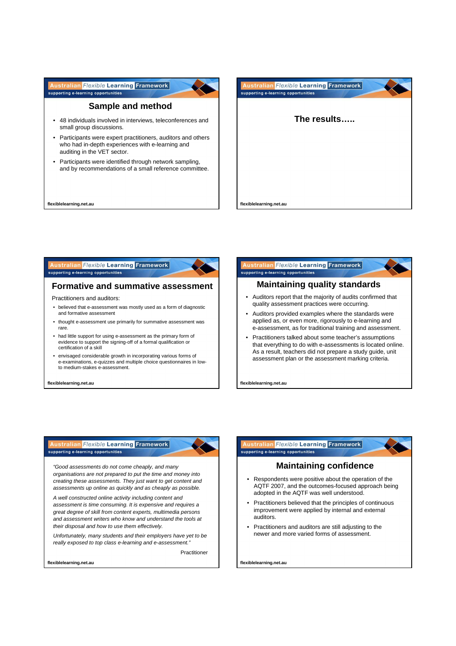**Australian Flexible Learning Framework** flexible learning supporting e-learning opportunities

### **Sample and method**

- 48 individuals involved in interviews, teleconferences and small group discussions.
- Participants were expert practitioners, auditors and others who had in-depth experiences with e-learning and auditing in the VET sector.
- Participants were identified through network sampling, and by recommendations of a small reference committee.

**flexiblelearning.net.au**



#### an Flexible Learning Framework supporting e-learning opportunities

### **Formative and summative assessment**

Practitioners and auditors:

- believed that e-assessment was mostly used as a form of diagnostic and formative assessment
- thought e-assessment use primarily for summative assessment was rare.
- had little support for using e-assessment as the primary form of evidence to support the signing-off of a formal qualification or certification of a skill
- envisaged considerable growth in incorporating various forms of e-examinations, e-quizzes and multiple choice questionnaires in lowto medium-stakes e-assessment.

**flexiblelearning.net.au**

#### ralian Flexible Learning Framework flexible learning supporting e-learning opportunities

## **Maintaining quality standards**

- Auditors report that the majority of audits confirmed that quality assessment practices were occurring.
- Auditors provided examples where the standards were applied as, or even more, rigorously to e-learning and e-assessment, as for traditional training and assessment.
- Practitioners talked about some teacher's assumptions that everything to do with e-assessments is located online. As a result, teachers did not prepare a study guide, unit assessment plan or the assessment marking criteria.

**flexiblelearning.net.au**

#### **In Flexible Learning Framework** supporting e-learning opportunities

"Good assessments do not come cheaply, and many organisations are not prepared to put the time and money into creating these assessments. They just want to get content and assessments up online as quickly and as cheaply as possible.

A well constructed online activity including content and assessment is time consuming. It is expensive and requires a great degree of skill from content experts, multimedia persons and assessment writers who know and understand the tools at their disposal and how to use them effectively.

Unfortunately, many students and their employers have yet to be really exposed to top class e-learning and e-assessment.

Practitioner

flexible learning

flexible learning

**flexiblelearning.net.au**

#### n Flexible Learning Framework flexible learning supporting e-learning opportunities

## **Maintaining confidence**

- Respondents were positive about the operation of the AQTF 2007, and the outcomes-focused approach being adopted in the AQTF was well understood.
- Practitioners believed that the principles of continuous improvement were applied by internal and external auditors.
- Practitioners and auditors are still adjusting to the newer and more varied forms of assessment.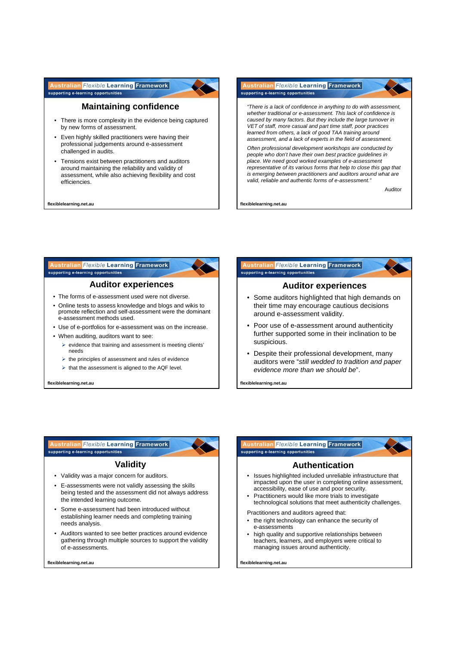**Australian Flexible Learning Framework** flexible learning supporting e-learning opportunities



- There is more complexity in the evidence being captured by new forms of assessment.
- Even highly skilled practitioners were having their professional judgements around e-assessment challenged in audits.
- Tensions exist between practitioners and auditors around maintaining the reliability and validity of assessment, while also achieving flexibility and cost efficiencies.

**flexiblelearning.net.au**



**flexiblelearning.net.au**

### ralian Flexible Learning Framework supporting e-learning opportunities

## **Auditor experiences**

flexible learning

flexible learning

- The forms of e-assessment used were not diverse.
- Online tests to assess knowledge and blogs and wikis to promote reflection and self-assessment were the dominant e-assessment methods used.
- Use of e-portfolios for e-assessment was on the increase.
- When auditing, auditors want to see:
	- $\triangleright$  evidence that training and assessment is meeting clients' needs
	- $\triangleright$  the principles of assessment and rules of evidence
	- $\triangleright$  that the assessment is aligned to the AQF level.

**flexiblelearning.net.au**



- Some auditors highlighted that high demands on their time may encourage cautious decisions around e-assessment validity.
- Poor use of e-assessment around authenticity further supported some in their inclination to be suspicious.
- Despite their professional development, many auditors were "still wedded to tradition and paper evidence more than we should be".

**flexiblelearning.net.au**

an Flexible Learning Framework supporting e-learning opportunities

## **Validity**

- Validity was a major concern for auditors.
- E-assessments were not validly assessing the skills being tested and the assessment did not always address the intended learning outcome.
- Some e-assessment had been introduced without establishing learner needs and completing training needs analysis.
- Auditors wanted to see better practices around evidence gathering through multiple sources to support the validity of e-assessments.

**flexiblelearning.net.au**



## **Authentication**

- Issues highlighted included unreliable infrastructure that impacted upon the user in completing online assessment, accessibility, ease of use and poor security.
- Practitioners would like more trials to investigate technological solutions that meet authenticity challenges.

Practitioners and auditors agreed that:

- the right technology can enhance the security of e-assessments
- high quality and supportive relationships between teachers, learners, and employers were critical to managing issues around authenticity.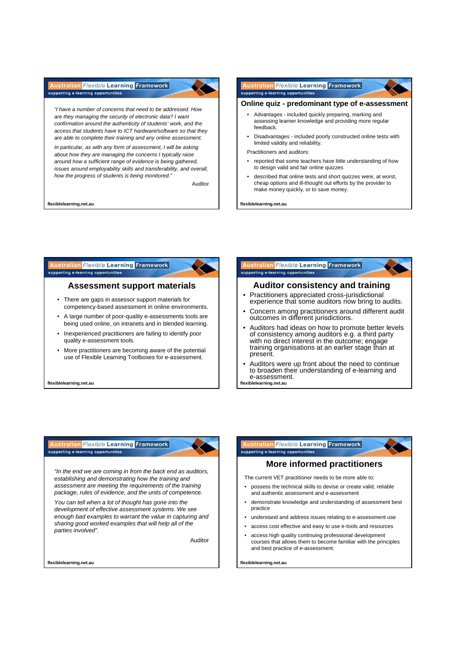#### **Australian Flexible Learning Framework** flexible learning supporting e-learning opportunities

"I have a number of concerns that need to be addressed. How are they managing the security of electronic data? I want confirmation around the authenticity of students' work, and the access that students have to ICT hardware/software so that they are able to complete their training and any online assessment.

In particular, as with any form of assessment, I will be asking about how they are managing the concerns I typically raise around how a sufficient range of evidence is being gathered, issues around employability skills and transferability, and overall, how the progress of students is being monitored."

Auditor

flexible learning

**flexiblelearning.net.au**

#### **Australian Flexible Learning Framework** supporting e-learning opportunities



flexible learning

## **Online quiz - predominant type of e-assessment**

- Advantages included quickly preparing, marking and assessing learner knowledge and providing more regular feedback.
- Disadvantages included poorly constructed online tests with limited validity and reliability.

Practitioners and auditors:

- reported that some teachers have little understanding of how to design valid and fair online quizzes
- described that online tests and short quizzes were, at worst, cheap options and ill-thought out efforts by the provider to make money quickly, or to save money.

**flexiblelearning.net.au**

### ralian *Flexible* Learning Framework supporting e-learning opportunities

### **Assessment support materials**

- There are gaps in assessor support materials for competency-based assessment in online environments.
- A large number of poor-quality e-assessments tools are being used online, on intranets and in blended learning.
- Inexperienced practitioners are failing to identify poor quality e-assessment tools.
- More practitioners are becoming aware of the potential use of Flexible Learning Toolboxes for e-assessment.

**flexiblelearning.net.au**

#### **ralian Flexible Learning Framework** supporting e-learning opportunities

## **Auditor consistency and training**

- Practitioners appreciated cross-jurisdictional experience that some auditors now bring to audits.
- Concern among practitioners around different audit outcomes in different jurisdictions.
- Auditors had ideas on how to promote better levels of consistency among auditors e.g. a third party with no direct interest in the outcome; engage training organisations at an earlier stage than at present.
- **flexiblelearning.net.au** • Auditors were up front about the need to continue to broaden their understanding of e-learning and e-assessment.

an Flexible Learning Framework supporting e-learning opportunities

"In the end we are coming in from the back end as auditors, establishing and demonstrating how the training and assessment are meeting the requirements of the training package, rules of evidence, and the units of competence.

You can tell when a lot of thought has gone into the development of effective assessment systems. We see enough bad examples to warrant the value in capturing and sharing good worked examples that will help all of the parties involved".

Auditor

flexible learning

#### n Flexible Learning Framework flexible learning supporting e-learning opportunities

## **More informed practitioners**

The current VET practitioner needs to be more able to:

- possess the technical skills to devise or create valid, reliable and authentic assessment and e-assessment
- demonstrate knowledge and understanding of assessment best practice
- understand and address issues relating to e-assessment use
- access cost effective and easy to use e-tools and resources
- access high quality continuing professional development courses that allows them to become familiar with the principles and best practice of e-assessment.

**flexiblelearning.net.au**